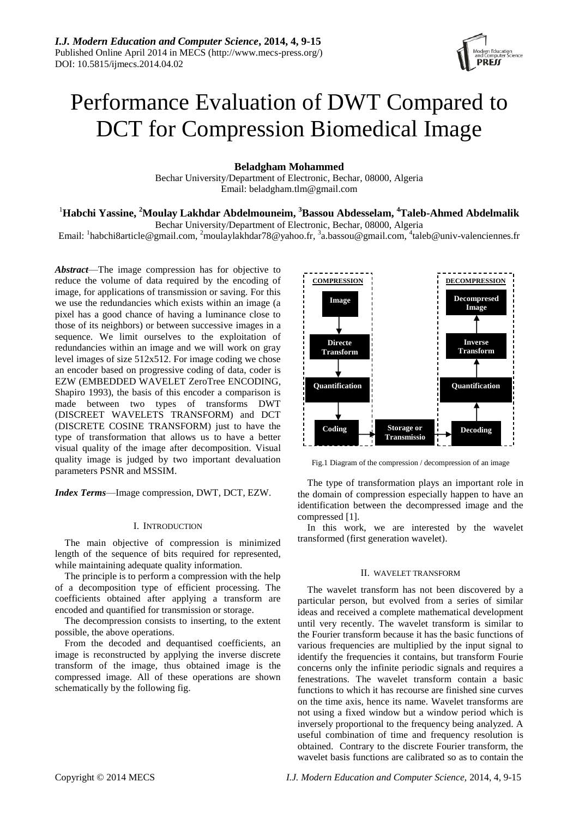

# Performance Evaluation of DWT Compared to DCT for Compression Biomedical Image

**Beladgham Mohammed**

Bechar University/Department of Electronic, Bechar, 08000, Algeria Email: [beladgham.tlm@gmail.com](mailto:beladgham.tlm@gmail.com)

## <sup>1</sup>**Habchi Yassine, <sup>2</sup>Moulay Lakhdar Abdelmouneim, <sup>3</sup>Bassou Abdesselam, <sup>4</sup>Taleb-Ahmed Abdelmalik**

Bechar University/Department of Electronic, Bechar, 08000, Algeria

Email: <sup>1</sup>[habchi8article@gmail.com,](mailto:habchi8article@gmail.com) <sup>2</sup>[moulaylakhdar78@yahoo.fr,](mailto:moulaylakhdar78@yahoo.fr) <sup>3</sup>[a.bassou@gmail.com,](mailto:a.bassou@gmail.com) <sup>4</sup>[taleb@univ-valenciennes.fr](mailto:taleb@univ-valenciennes.fr)

*Abstract*—The image compression has for objective to reduce the volume of data required by the encoding of image, for applications of transmission or saving. For this we use the redundancies which exists within an image (a pixel has a good chance of having a luminance close to those of its neighbors) or between successive images in a sequence. We limit ourselves to the exploitation of redundancies within an image and we will work on gray level images of size 512x512. For image coding we chose an encoder based on progressive coding of data, coder is EZW (EMBEDDED WAVELET ZeroTree ENCODING, Shapiro 1993), the basis of this encoder a comparison is made between two types of transforms DWT (DISCREET WAVELETS TRANSFORM) and DCT (DISCRETE COSINE TRANSFORM) just to have the type of transformation that allows us to have a better visual quality of the image after decomposition. Visual quality image is judged by two important devaluation parameters PSNR and MSSIM.

*Index Terms*—Image compression, DWT, DCT, EZW.

## I. INTRODUCTION

The main objective of compression is minimized length of the sequence of bits required for represented, while maintaining adequate quality information.

The principle is to perform a compression with the help of a decomposition type of efficient processing. The coefficients obtained after applying a transform are encoded and quantified for transmission or storage.

The decompression consists to inserting, to the extent possible, the above operations.

From the decoded and dequantised coefficients, an image is reconstructed by applying the inverse discrete transform of the image, thus obtained image is the compressed image. All of these operations are shown schematically by the following fig.



Fig.1 Diagram of the compression / decompression of an image

The type of transformation plays an important role in the domain of compression especially happen to have an identification between the decompressed image and the compressed [1].

In this work, we are interested by the wavelet transformed (first generation wavelet).

## II. WAVELET TRANSFORM

The wavelet transform has not been discovered by a particular person, but evolved from a series of similar ideas and received a complete mathematical development until very recently. The wavelet transform is similar to the Fourier transform because it has the basic functions of various frequencies are multiplied by the input signal to identify the frequencies it contains, but transform Fourie concerns only the infinite periodic signals and requires a fenestrations. The wavelet transform contain a basic functions to which it has recourse are finished sine curves on the time axis, hence its name. Wavelet transforms are not using a fixed window but a window period which is inversely proportional to the frequency being analyzed. A useful combination of time and frequency resolution is obtained. Contrary to the discrete Fourier transform, the wavelet basis functions are calibrated so as to contain the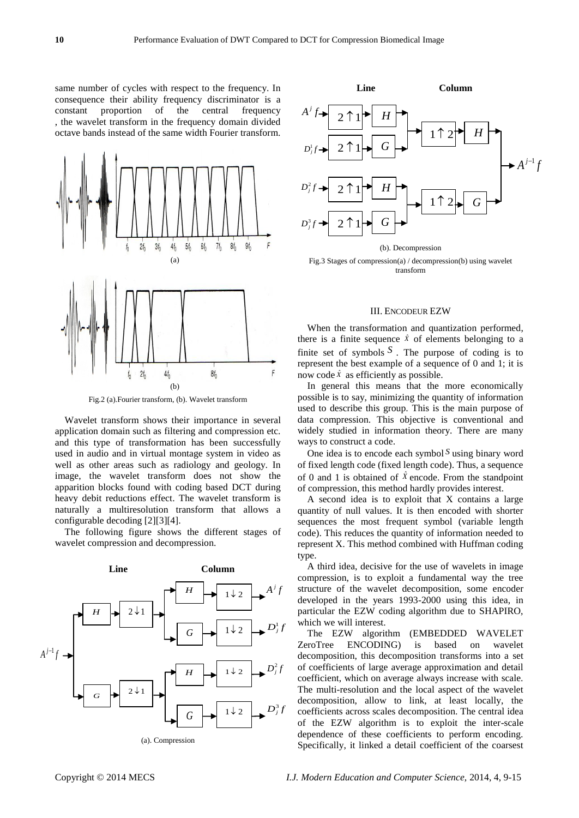same number of cycles with respect to the frequency. In consequence their ability frequency discriminator is a constant proportion of the central frequency , the wavelet transform in the frequency domain divided octave bands instead of the same width Fourier transform.



Fig.2 (a).Fourier transform, (b). Wavelet transform

Wavelet transform shows their importance in several application domain such as filtering and compression etc. and this type of transformation has been successfully used in audio and in virtual montage system in video as well as other areas such as radiology and geology. In image, the wavelet transform does not show the apparition blocks found with coding based DCT during heavy debit reductions effect. The wavelet transform is naturally a multiresolution transform that allows a configurable decoding [2][3][4].

The following figure shows the different stages of wavelet compression and decompression.





Fig.3 Stages of compression(a) / decompression(b) using wavelet transform

### III. ENCODEUR EZW

When the transformation and quantization performed, there is a finite sequence  $\hat{x}$  of elements belonging to a finite set of symbols  $S$ . The purpose of coding is to represent the best example of a sequence of 0 and 1; it is now code  $\hat{x}$  as efficiently as possible.

In general this means that the more economically possible is to say, minimizing the quantity of information used to describe this group. This is the main purpose of data compression. This objective is conventional and widely studied in information theory. There are many ways to construct a code.

One idea is to encode each symbol *S* using binary word of fixed length code (fixed length code). Thus, a sequence of 0 and 1 is obtained of  $\hat{X}$  encode. From the standpoint of compression, this method hardly provides interest.

A second idea is to exploit that X contains a large quantity of null values. It is then encoded with shorter sequences the most frequent symbol (variable length code). This reduces the quantity of information needed to represent X. This method combined with Huffman coding type.

A third idea, decisive for the use of wavelets in image compression, is to exploit a fundamental way the tree structure of the wavelet decomposition, some encoder developed in the years 1993-2000 using this idea, in particular the EZW coding algorithm due to SHAPIRO, which we will interest.

The EZW algorithm (EMBEDDED WAVELET ZeroTree ENCODING) is based on wavelet decomposition, this decomposition transforms into a set of coefficients of large average approximation and detail coefficient, which on average always increase with scale. The multi-resolution and the local aspect of the wavelet decomposition, allow to link, at least locally, the coefficients across scales decomposition. The central idea of the EZW algorithm is to exploit the inter-scale dependence of these coefficients to perform encoding. Specifically, it linked a detail coefficient of the coarsest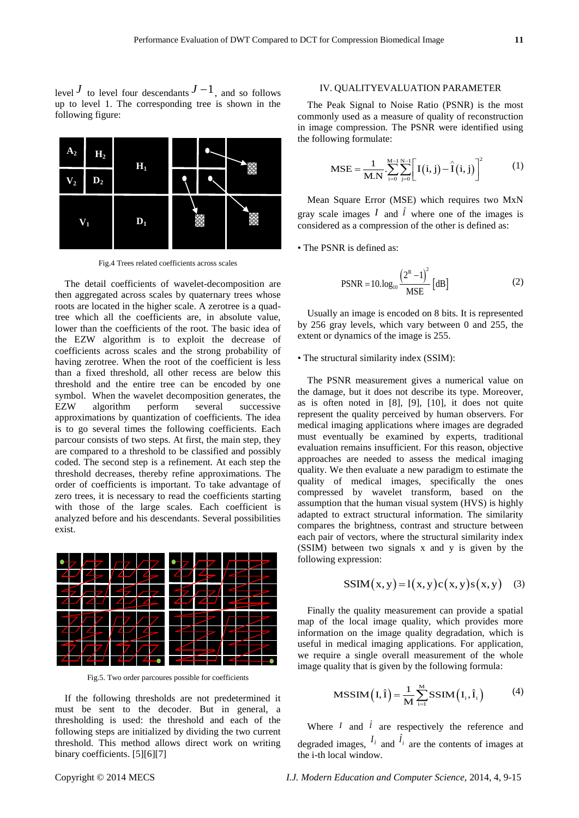level  $J$  to level four descendants  $J-1$ , and so follows up to level 1. The corresponding tree is shown in the following figure:



Fig.4 Trees related coefficients across scales

The detail coefficients of wavelet-decomposition are then aggregated across scales by quaternary trees whose roots are located in the higher scale. A zerotree is a quadtree which all the coefficients are, in absolute value, lower than the coefficients of the root. The basic idea of the EZW algorithm is to exploit the decrease of coefficients across scales and the strong probability of having zerotree. When the root of the coefficient is less than a fixed threshold, all other recess are below this threshold and the entire tree can be encoded by one symbol. When the wavelet decomposition generates, the EZW algorithm perform several successive approximations by quantization of coefficients. The idea is to go several times the following coefficients. Each parcour consists of two steps. At first, the main step, they are compared to a threshold to be classified and possibly coded. The second step is a refinement. At each step the threshold decreases, thereby refine approximations. The order of coefficients is important. To take advantage of zero trees, it is necessary to read the coefficients starting with those of the large scales. Each coefficient is analyzed before and his descendants. Several possibilities exist.



Fig.5. Two order parcoures possible for coefficients

If the following thresholds are not predetermined it must be sent to the decoder. But in general, a thresholding is used: the threshold and each of the following steps are initialized by dividing the two current threshold. This method allows direct work on writing binary coefficients. [5][6][7]

## IV. QUALITYEVALUATION PARAMETER

The Peak Signal to Noise Ratio (PSNR) is the most commonly used as a measure of quality of reconstruction in image compression. The PSNR were identified using the following formulate:

$$
MSE = \frac{1}{M.N} \sum_{i=0}^{M-1} \sum_{j=0}^{N-1} \left[ I(i, j) - \hat{I}(i, j) \right]^2
$$
 (1)

Mean Square Error (MSE) which requires two MxN gray scale images  $I$  and  $\hat{I}$  where one of the images is considered as a compression of the other is defined as:

• The PSNR is defined as:

$$
PSNR = 10. \log_{10} \frac{\left(2^{R} - 1\right)^{2}}{MSE} \left[ \text{dB} \right]
$$
 (2)

Usually an image is encoded on 8 bits. It is represented by 256 gray levels, which vary between 0 and 255, the extent or dynamics of the image is 255.

## • The structural similarity index (SSIM):

The PSNR measurement gives a numerical value on the damage, but it does not describe its type. Moreover, as is often noted in [8], [9], [10], it does not quite represent the quality perceived by human observers. For medical imaging applications where images are degraded must eventually be examined by experts, traditional evaluation remains insufficient. For this reason, objective approaches are needed to assess the medical imaging quality. We then evaluate a new paradigm to estimate the quality of medical images, specifically the ones compressed by wavelet transform, based on the assumption that the human visual system (HVS) is highly adapted to extract structural information. The similarity compares the brightness, contrast and structure between each pair of vectors, where the structural similarity index (SSIM) between two signals x and y is given by the following expression:

$$
SSIM(x, y) = 1(x, y)c(x, y)s(x, y)
$$
 (3)

Finally the quality measurement can provide a spatial map of the local image quality, which provides more information on the image quality degradation, which is useful in medical imaging applications. For application, we require a single overall measurement of the whole image quality that is given by the following formula:

$$
MSSIM(I, \hat{I}) = \frac{1}{M} \sum_{i=1}^{M} SSIM(I_i, \hat{I}_i)
$$
 (4)

Where  $I$  and  $\hat{I}$  are respectively the reference and degraded images,  $I_i$  and  $\hat{I}_i$  are the contents of images at the i-th local window.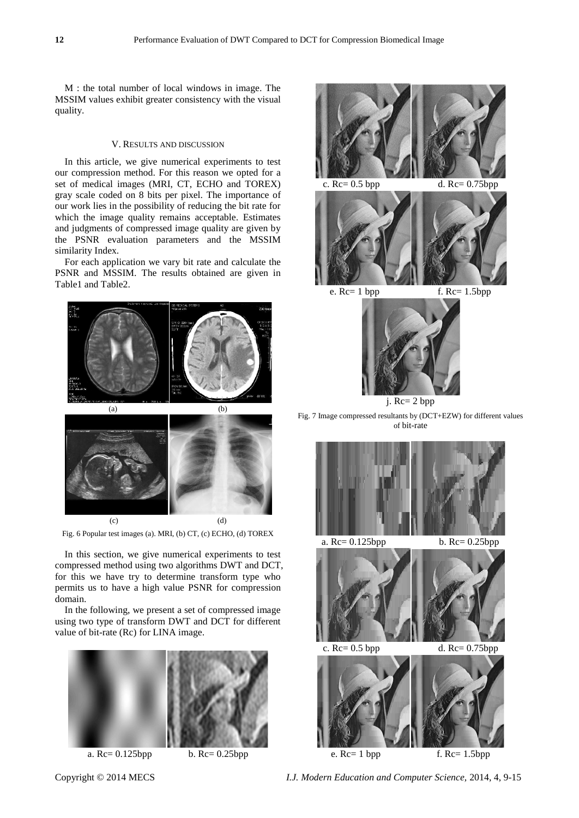M : the total number of local windows in image. The MSSIM values exhibit greater consistency with the visual quality.

## V. RESULTS AND DISCUSSION

In this article, we give numerical experiments to test our compression method. For this reason we opted for a set of medical images (MRI, CT, ECHO and TOREX) gray scale coded on 8 bits per pixel. The importance of our work lies in the possibility of reducing the bit rate for which the image quality remains acceptable. Estimates and judgments of compressed image quality are given by the PSNR evaluation parameters and the MSSIM similarity Index.

For each application we vary bit rate and calculate the PSNR and MSSIM. The results obtained are given in Table1 and Table2.



Fig. 6 Popular test images (a). MRI, (b) CT, (c) ECHO, (d) TOREX

In this section, we give numerical experiments to test compressed method using two algorithms DWT and DCT, for this we have try to determine transform type who permits us to have a high value PSNR for compression domain.

In the following, we present a set of compressed image using two type of transform DWT and DCT for different value of bit-rate (Rc) for LINA image.



a. Rc= 0.125bpp b. Rc= 0.25bpp





j. Rc= 2 bpp

Fig. 7 Image compressed resultants by (DCT+EZW) for different values of bit-rate



Copyright © 2014 MECS *I.J. Modern Education and Computer Science,* 2014, 4, 9-15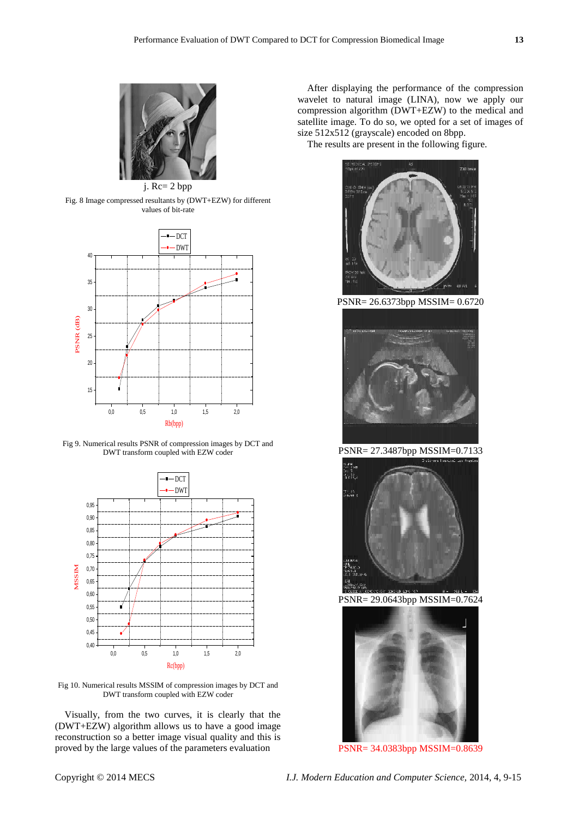

Fig. 8 Image compressed resultants by (DWT+EZW) for different values of bit-rate



Fig 9. Numerical results PSNR of compression images by DCT and DWT transform coupled with EZW coder



Fig 10. Numerical results MSSIM of compression images by DCT and DWT transform coupled with EZW coder

Visually, from the two curves, it is clearly that the (DWT+EZW) algorithm allows us to have a good image reconstruction so a better image visual quality and this is proved by the large values of the parameters evaluation

After displaying the performance of the compression wavelet to natural image (LINA), now we apply our compression algorithm (DWT+EZW) to the medical and satellite image. To do so, we opted for a set of images of size 512x512 (grayscale) encoded on 8bpp.

The results are present in the following figure.



PSNR= 26.6373bpp MSSIM= 0.6720



PSNR= 27.3487bpp MSSIM=0.7133



PSNR= 29.0643bpp MSSIM=0.7624



PSNR= 34.0383bpp MSSIM=0.8639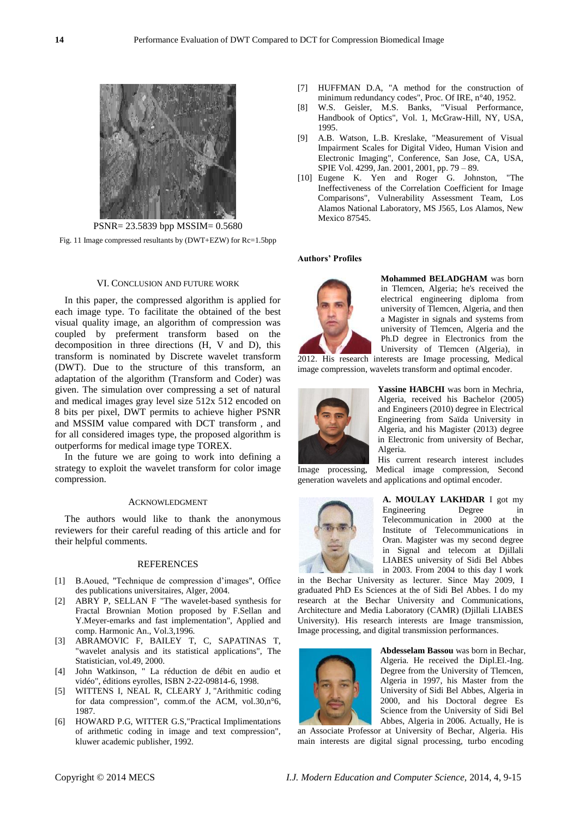

Fig. 11 Image compressed resultants by (DWT+EZW) for Rc=1.5bpp

## VI. CONCLUSION AND FUTURE WORK

In this paper, the compressed algorithm is applied for each image type. To facilitate the obtained of the best visual quality image, an algorithm of compression was coupled by preferment transform based on the decomposition in three directions (H, V and D), this transform is nominated by Discrete wavelet transform (DWT). Due to the structure of this transform, an adaptation of the algorithm (Transform and Coder) was given. The simulation over compressing a set of natural and medical images gray level size 512x 512 encoded on 8 bits per pixel, DWT permits to achieve higher PSNR and MSSIM value compared with DCT transform , and for all considered images type, the proposed algorithm is outperforms for medical image type TOREX.

In the future we are going to work into defining a strategy to exploit the wavelet transform for color image compression.

## ACKNOWLEDGMENT

The authors would like to thank the anonymous reviewers for their careful reading of this article and for their helpful comments.

#### REFERENCES

- [1] B.Aoued, "Technique de compression d'images", Office des publications universitaires, Alger, 2004.
- [2] ABRY P, SELLAN F "The wavelet-based synthesis for Fractal Brownian Motion proposed by F.Sellan and Y.Meyer-emarks and fast implementation", Applied and comp. Harmonic An., Vol.3,1996.
- [3] ABRAMOVIC F, BAILEY T, C, SAPATINAS T, "wavelet analysis and its statistical applications", The Statistician, vol.49, 2000.
- [4] John Watkinson, " La réduction de débit en audio et vidéo", éditions eyrolles, ISBN 2-22-09814-6, 1998.
- [5] WITTENS I, NEAL R, CLEARY J, "Arithmitic coding for data compression", comm.of the ACM, vol.30,n°6, 1987.
- [6] HOWARD P.G, WITTER G.S,"Practical Implimentations of arithmetic coding in image and text compression", kluwer academic publisher, 1992.
- [7] HUFFMAN D.A, "A method for the construction of minimum redundancy codes", Proc. Of IRE, n°40, 1952.
- [8] W.S. Geisler, M.S. Banks, "Visual Performance, Handbook of Optics", Vol. 1, McGraw-Hill, NY, USA, 1995.
- [9] A.B. Watson, L.B. Kreslake, "Measurement of Visual Impairment Scales for Digital Video, Human Vision and Electronic Imaging", Conference, San Jose, CA, USA, SPIE Vol. 4299, Jan. 2001, 2001, pp. 79 – 89.
- [10] Eugene K. Yen and Roger G. Johnston, "The Ineffectiveness of the Correlation Coefficient for Image Comparisons", Vulnerability Assessment Team, Los Alamos National Laboratory, MS J565, Los Alamos, New Mexico 87545.

#### **Authors' Profiles**



**Mohammed BELADGHAM** was born in Tlemcen, Algeria; he's received the electrical engineering diploma from university of Tlemcen, Algeria, and then a Magister in signals and systems from university of Tlemcen, Algeria and the Ph.D degree in Electronics from the University of Tlemcen (Algeria), in

2012. His research interests are Image processing, Medical image compression, wavelets transform and optimal encoder.



**Yassine HABCHI** was born in Mechria, Algeria, received his Bachelor (2005) and Engineers (2010) degree in Electrical Engineering from Saïda University in Algeria, and his Magister (2013) degree in Electronic from university of Bechar, Algeria.

His current research interest includes Image processing, Medical image compression, Second generation wavelets and applications and optimal encoder.



**A. [MOULAY](http://moul.iv/) LAKHDAR** I got my Engineering Degree in Telecommunication in 2000 at the Institute of Telecommunications in Oran. Magister was my second degree in Signal and telecom at Djillali LIABES university of Sidi Bel Abbes in 2003. From 2004 to this day I work

in the Bechar University as lecturer. Since May 2009, I graduated PhD Es Sciences at the of Sidi Bel Abbes. I do my research at the Bechar University and Communications, Architecture and Media Laboratory (CAMR) (Djillali LIABES University). His research interests are Image transmission, Image processing, and digital transmission performances.



**Abdesselam Bassou** was born in Bechar, Algeria. He received the Dipl.El.-Ing. Degree from the University of Tlemcen, Algeria in 1997, his Master from the University of Sidi Bel Abbes, Algeria in 2000, and his Doctoral degree Es Science from the University of Sidi Bel Abbes, Algeria in 2006. Actually, He is

an Associate Professor at University of Bechar, Algeria. His main interests are digital signal processing, turbo encoding